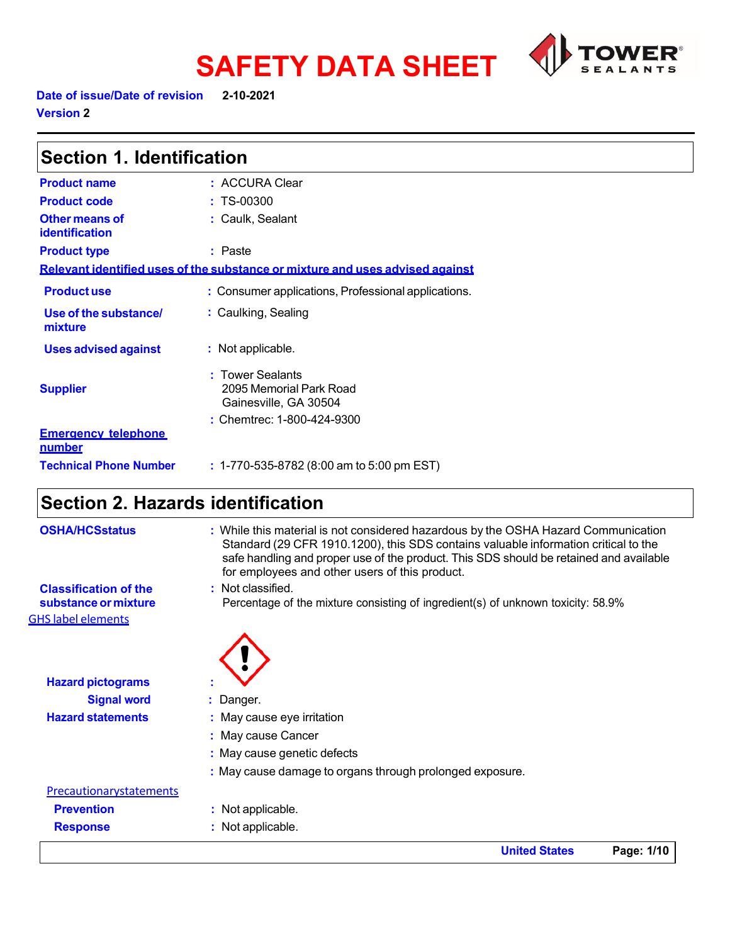

Date of issue/Date of revision **2-10-2021** 

**Version 2** 

| <b>Section 1. Identification</b>        |                                                                               |
|-----------------------------------------|-------------------------------------------------------------------------------|
| <b>Product name</b>                     | : ACCURA Clear                                                                |
| <b>Product code</b>                     | $: TS-00300$                                                                  |
| Other means of<br><b>identification</b> | : Caulk, Sealant                                                              |
| <b>Product type</b>                     | $:$ Paste                                                                     |
|                                         | Relevant identified uses of the substance or mixture and uses advised against |
| <b>Productuse</b>                       | : Consumer applications, Professional applications.                           |
| Use of the substance/<br>mixture        | : Caulking, Sealing                                                           |
| <b>Uses advised against</b>             | : Not applicable.                                                             |
| <b>Supplier</b>                         | : Tower Sealants<br>2095 Memorial Park Road<br>Gainesville, GA 30504          |
| <b>Emergency telephone</b><br>number    | : Chemtrec: 1-800-424-9300                                                    |
| <b>Technical Phone Number</b>           | $: 1-770-535-8782$ (8:00 am to 5:00 pm EST)                                   |

# **Section 2. Hazards identification**

|                                                      | <b>United States</b>                                                                                                                                                                                                                                                                                                  | Page: 1/10 |
|------------------------------------------------------|-----------------------------------------------------------------------------------------------------------------------------------------------------------------------------------------------------------------------------------------------------------------------------------------------------------------------|------------|
| <b>Response</b>                                      | : Not applicable.                                                                                                                                                                                                                                                                                                     |            |
| <b>Prevention</b>                                    | : Not applicable.                                                                                                                                                                                                                                                                                                     |            |
| Precautionarystatements                              |                                                                                                                                                                                                                                                                                                                       |            |
|                                                      | : May cause damage to organs through prolonged exposure.                                                                                                                                                                                                                                                              |            |
|                                                      | : May cause genetic defects                                                                                                                                                                                                                                                                                           |            |
|                                                      | : May cause Cancer                                                                                                                                                                                                                                                                                                    |            |
| <b>Hazard statements</b>                             | : May cause eye irritation                                                                                                                                                                                                                                                                                            |            |
| <b>Signal word</b>                                   | Danger.                                                                                                                                                                                                                                                                                                               |            |
| <b>Hazard pictograms</b>                             |                                                                                                                                                                                                                                                                                                                       |            |
| <b>GHS label elements</b>                            |                                                                                                                                                                                                                                                                                                                       |            |
| <b>Classification of the</b><br>substance or mixture | : Not classified.<br>Percentage of the mixture consisting of ingredient(s) of unknown toxicity: 58.9%                                                                                                                                                                                                                 |            |
| <b>OSHA/HCSstatus</b>                                | : While this material is not considered hazardous by the OSHA Hazard Communication<br>Standard (29 CFR 1910.1200), this SDS contains valuable information critical to the<br>safe handling and proper use of the product. This SDS should be retained and available<br>for employees and other users of this product. |            |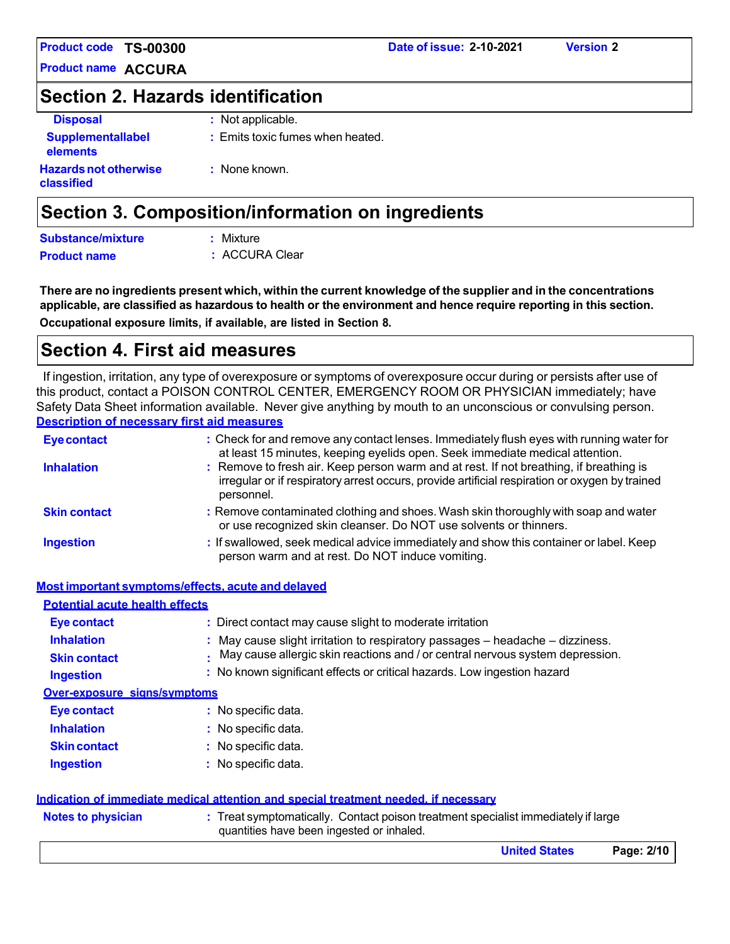**Product name ACCURA**

# **Section 2. Hazards identification**

| <b>Disposal</b>                            | : Not applicable.                |
|--------------------------------------------|----------------------------------|
| <b>Supplementallabel</b><br>elements       | : Emits toxic fumes when heated. |
| <b>Hazards not otherwise</b><br>classified | : None known.                    |

# **Section 3. Composition/information on ingredients**

| Substance/mixture   | : Mixture      |
|---------------------|----------------|
| <b>Product name</b> | : ACCURA Clear |

There are no ingredients present which, within the current knowledge of the supplier and in the concentrations applicable, are classified as hazardous to health or the environment and hence require reporting in this section. **Occupational exposure limits, if available, are listed in Section 8.**

# **Section 4. First aid measures**

If ingestion, irritation, any type of overexposure or symptoms of overexposure occur during or persists after use of this product, contact a POISON CONTROL CENTER, EMERGENCY ROOM OR PHYSICIAN immediately; have Safety Data Sheet information available. Never give anything by mouth to an unconscious or convulsing person. **Description of necessary first aid measures**

| <b>Eye contact</b>  | : Check for and remove any contact lenses. Immediately flush eyes with running water for<br>at least 15 minutes, keeping eyelids open. Seek immediate medical attention.                               |
|---------------------|--------------------------------------------------------------------------------------------------------------------------------------------------------------------------------------------------------|
| <b>Inhalation</b>   | : Remove to fresh air. Keep person warm and at rest. If not breathing, if breathing is<br>irregular or if respiratory arrest occurs, provide artificial respiration or oxygen by trained<br>personnel. |
| <b>Skin contact</b> | : Remove contaminated clothing and shoes. Wash skin thoroughly with soap and water<br>or use recognized skin cleanser. Do NOT use solvents or thinners.                                                |
| <b>Ingestion</b>    | : If swallowed, seek medical advice immediately and show this container or label. Keep<br>person warm and at rest. Do NOT induce vomiting.                                                             |

|                                       | Most important symptoms/effects, acute and delayed                                                                             |
|---------------------------------------|--------------------------------------------------------------------------------------------------------------------------------|
| <b>Potential acute health effects</b> |                                                                                                                                |
| Eye contact                           | : Direct contact may cause slight to moderate irritation                                                                       |
| <b>Inhalation</b>                     | May cause slight irritation to respiratory passages – headache – dizziness.                                                    |
| <b>Skin contact</b>                   | May cause allergic skin reactions and / or central nervous system depression.                                                  |
| <b>Ingestion</b>                      | : No known significant effects or critical hazards. Low ingestion hazard                                                       |
| <b>Over-exposure signs/symptoms</b>   |                                                                                                                                |
| Eye contact                           | : No specific data.                                                                                                            |
| <b>Inhalation</b>                     | $:$ No specific data.                                                                                                          |
| <b>Skin contact</b>                   | $:$ No specific data.                                                                                                          |
| <b>Ingestion</b>                      | : No specific data.                                                                                                            |
|                                       | Indication of immediate medical attention and special treatment needed, if necessary                                           |
| <b>Notes to physician</b>             | : Treat symptomatically. Contact poison treatment specialist immediately if large<br>quantities have been ingested or inhaled. |
|                                       | <b>United States</b><br>Page: 2/10                                                                                             |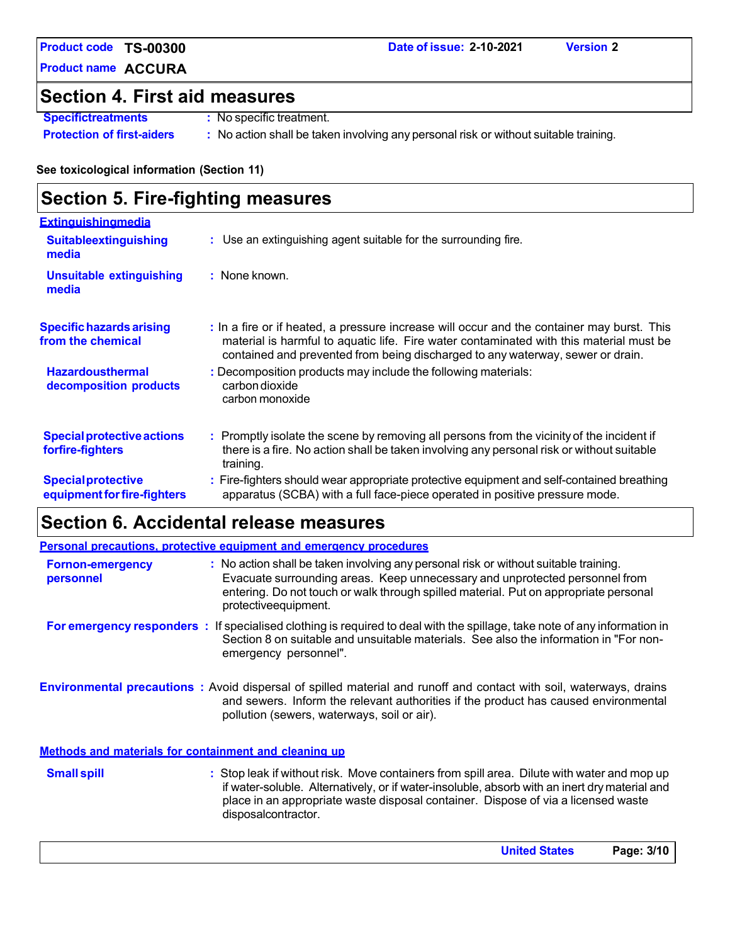**Product name ACCURA**

# **Section 4. First aid measures**

**Specifictreatments :** No specific treatment.

**Protection of first-aiders :** No action shall be taken involving any personal risk or without suitable training.

### **See toxicological information (Section 11)**

# **Section 5. Fire-fighting measures**

| <b>Extinguishingmedia</b>                                |                                                                                                                                                                                                                                                                         |
|----------------------------------------------------------|-------------------------------------------------------------------------------------------------------------------------------------------------------------------------------------------------------------------------------------------------------------------------|
| <b>Suitableextinguishing</b><br>media                    | : Use an extinguishing agent suitable for the surrounding fire.                                                                                                                                                                                                         |
| <b>Unsuitable extinguishing</b><br>media                 | $:$ None known.                                                                                                                                                                                                                                                         |
| <b>Specific hazards arising</b><br>from the chemical     | : In a fire or if heated, a pressure increase will occur and the container may burst. This<br>material is harmful to aquatic life. Fire water contaminated with this material must be<br>contained and prevented from being discharged to any waterway, sewer or drain. |
| <b>Hazardousthermal</b><br>decomposition products        | : Decomposition products may include the following materials:<br>carbon dioxide<br>carbon monoxide                                                                                                                                                                      |
| <b>Special protective actions</b><br>forfire-fighters    | : Promptly isolate the scene by removing all persons from the vicinity of the incident if<br>there is a fire. No action shall be taken involving any personal risk or without suitable<br>training.                                                                     |
| <b>Special protective</b><br>equipment for fire-fighters | : Fire-fighters should wear appropriate protective equipment and self-contained breathing<br>apparatus (SCBA) with a full face-piece operated in positive pressure mode.                                                                                                |

# **Section 6. Accidental release measures**

|                                                       | Personal precautions, protective equipment and emergency procedures                                                                                                                                                                                                                  |
|-------------------------------------------------------|--------------------------------------------------------------------------------------------------------------------------------------------------------------------------------------------------------------------------------------------------------------------------------------|
| <b>Fornon-emergency</b><br>personnel                  | : No action shall be taken involving any personal risk or without suitable training.<br>Evacuate surrounding areas. Keep unnecessary and unprotected personnel from<br>entering. Do not touch or walk through spilled material. Put on appropriate personal<br>protective equipment. |
|                                                       | For emergency responders : If specialised clothing is required to deal with the spillage, take note of any information in<br>Section 8 on suitable and unsuitable materials. See also the information in "For non-<br>emergency personnel".                                          |
|                                                       | <b>Environmental precautions</b> : Avoid dispersal of spilled material and runoff and contact with soil, waterways, drains<br>and sewers. Inform the relevant authorities if the product has caused environmental<br>pollution (sewers, waterways, soil or air).                     |
| Methods and materials for containment and cleaning up |                                                                                                                                                                                                                                                                                      |

**Small spill Stop leak if without risk.** Move containers from spill area. Dilute with water and mop up if water-soluble. Alternatively, or if water-insoluble, absorb with an inert dry material and place in an appropriate waste disposal container. Dispose of via a licensed waste disposalcontractor.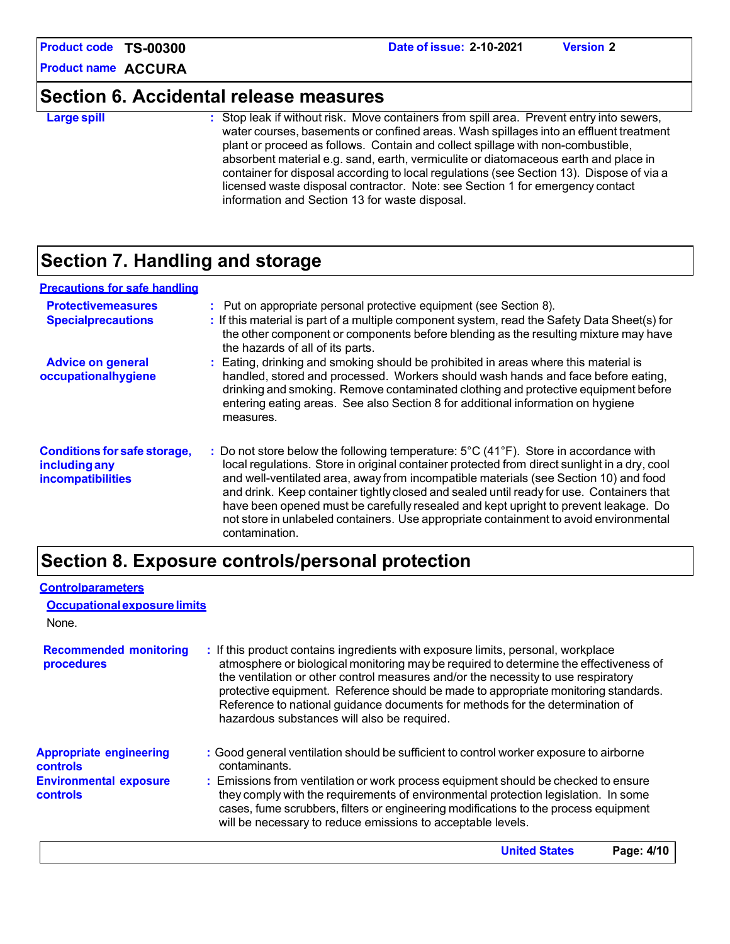**Product name ACCURA**

# **Section 6. Accidental release measures**

**Large spill :** Stop leak if without risk. Move containers from spill area. Prevent entry into sewers, water courses, basements or confined areas. Wash spillages into an effluent treatment plant or proceed as follows. Contain and collect spillage with non-combustible, absorbent material e.g. sand, earth, vermiculite or diatomaceous earth and place in container for disposal according to local regulations (see Section 13). Dispose of via a licensed waste disposal contractor. Note: see Section 1 for emergency contact information and Section 13 for waste disposal.

# **Section 7. Handling and storage**

### **Precautions for safe handling**

| <b>Protectivemeasures</b><br><b>Specialprecautions</b>                    | : Put on appropriate personal protective equipment (see Section 8).<br>: If this material is part of a multiple component system, read the Safety Data Sheet(s) for<br>the other component or components before blending as the resulting mixture may have<br>the hazards of all of its parts.                                                                                                                                                                                                                                                                                                  |
|---------------------------------------------------------------------------|-------------------------------------------------------------------------------------------------------------------------------------------------------------------------------------------------------------------------------------------------------------------------------------------------------------------------------------------------------------------------------------------------------------------------------------------------------------------------------------------------------------------------------------------------------------------------------------------------|
| <b>Advice on general</b><br>occupationalhygiene                           | : Eating, drinking and smoking should be prohibited in areas where this material is<br>handled, stored and processed. Workers should wash hands and face before eating,<br>drinking and smoking. Remove contaminated clothing and protective equipment before<br>entering eating areas. See also Section 8 for additional information on hygiene<br>measures.                                                                                                                                                                                                                                   |
| <b>Conditions for safe storage,</b><br>including any<br>incompatibilities | : Do not store below the following temperature: $5^{\circ}$ C (41 $^{\circ}$ F). Store in accordance with<br>local regulations. Store in original container protected from direct sunlight in a dry, cool<br>and well-ventilated area, away from incompatible materials (see Section 10) and food<br>and drink. Keep container tightly closed and sealed until ready for use. Containers that<br>have been opened must be carefully resealed and kept upright to prevent leakage. Do<br>not store in unlabeled containers. Use appropriate containment to avoid environmental<br>contamination. |

# **Section 8. Exposure controls/personal protection**

| : If this product contains ingredients with exposure limits, personal, workplace<br>atmosphere or biological monitoring may be required to determine the effectiveness of<br>the ventilation or other control measures and/or the necessity to use respiratory<br>protective equipment. Reference should be made to appropriate monitoring standards.<br>Reference to national guidance documents for methods for the determination of |
|----------------------------------------------------------------------------------------------------------------------------------------------------------------------------------------------------------------------------------------------------------------------------------------------------------------------------------------------------------------------------------------------------------------------------------------|
| : Good general ventilation should be sufficient to control worker exposure to airborne<br>: Emissions from ventilation or work process equipment should be checked to ensure<br>they comply with the requirements of environmental protection legislation. In some<br>cases, fume scrubbers, filters or engineering modifications to the process equipment                                                                             |
|                                                                                                                                                                                                                                                                                                                                                                                                                                        |

**United States Page: 4/10**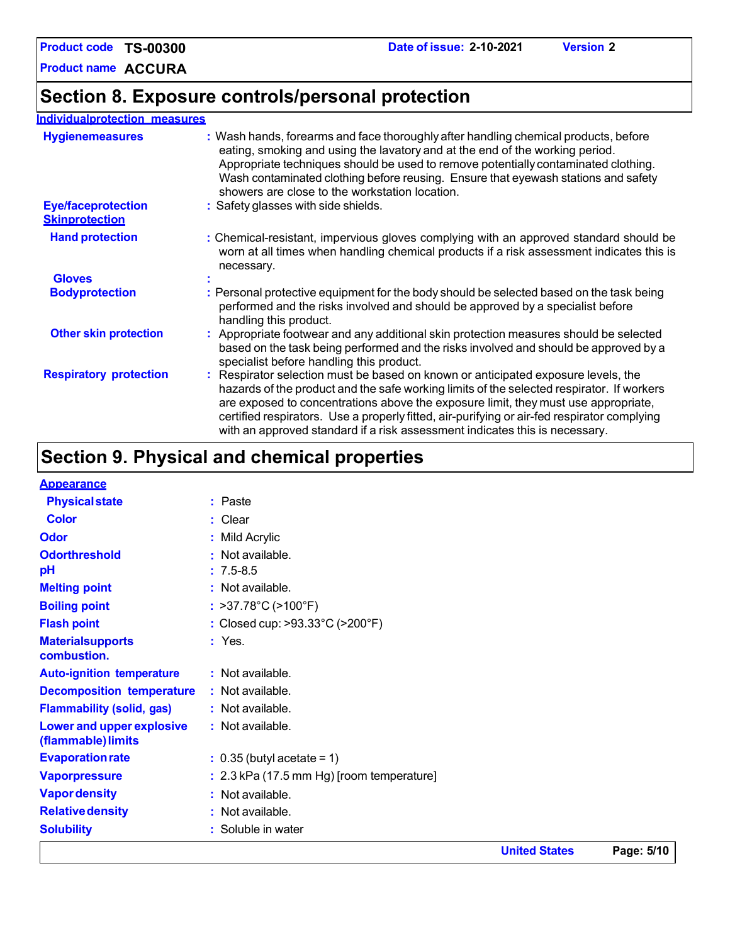### **Individualprotection measures**

| <b>Hygienemeasures</b>                             | : Wash hands, forearms and face thoroughly after handling chemical products, before<br>eating, smoking and using the lavatory and at the end of the working period.<br>Appropriate techniques should be used to remove potentially contaminated clothing.<br>Wash contaminated clothing before reusing. Ensure that eyewash stations and safety<br>showers are close to the workstation location.                                                  |
|----------------------------------------------------|----------------------------------------------------------------------------------------------------------------------------------------------------------------------------------------------------------------------------------------------------------------------------------------------------------------------------------------------------------------------------------------------------------------------------------------------------|
| <b>Eye/faceprotection</b><br><b>Skinprotection</b> | : Safety glasses with side shields.                                                                                                                                                                                                                                                                                                                                                                                                                |
| <b>Hand protection</b>                             | : Chemical-resistant, impervious gloves complying with an approved standard should be<br>worn at all times when handling chemical products if a risk assessment indicates this is<br>necessary.                                                                                                                                                                                                                                                    |
| <b>Gloves</b>                                      |                                                                                                                                                                                                                                                                                                                                                                                                                                                    |
| <b>Bodyprotection</b>                              | : Personal protective equipment for the body should be selected based on the task being<br>performed and the risks involved and should be approved by a specialist before<br>handling this product.                                                                                                                                                                                                                                                |
| <b>Other skin protection</b>                       | : Appropriate footwear and any additional skin protection measures should be selected<br>based on the task being performed and the risks involved and should be approved by a<br>specialist before handling this product.                                                                                                                                                                                                                          |
| <b>Respiratory protection</b>                      | : Respirator selection must be based on known or anticipated exposure levels, the<br>hazards of the product and the safe working limits of the selected respirator. If workers<br>are exposed to concentrations above the exposure limit, they must use appropriate,<br>certified respirators. Use a properly fitted, air-purifying or air-fed respirator complying<br>with an approved standard if a risk assessment indicates this is necessary. |

**Date of issue: 2-10-2021 Version 2**

# **Section 9. Physical and chemical properties**

|                                                 |                                             | <b>United States</b> | Page: 5/10 |
|-------------------------------------------------|---------------------------------------------|----------------------|------------|
| <b>Solubility</b>                               | : Soluble in water                          |                      |            |
| <b>Relative density</b>                         | : Not available.                            |                      |            |
| <b>Vapor density</b>                            | : Not available.                            |                      |            |
| <b>Vaporpressure</b>                            | $: 2.3$ kPa (17.5 mm Hg) [room temperature] |                      |            |
| <b>Evaporation rate</b>                         | $: 0.35$ (butyl acetate = 1)                |                      |            |
| Lower and upper explosive<br>(flammable) limits | : Not available.                            |                      |            |
| <b>Flammability (solid, gas)</b>                | : Not available.                            |                      |            |
| <b>Decomposition temperature</b>                | : Not available.                            |                      |            |
| <b>Auto-ignition temperature</b>                | : Not available.                            |                      |            |
| <b>Materialsupports</b><br>combustion.          | $:$ Yes.                                    |                      |            |
| <b>Flash point</b>                              | : Closed cup: >93.33°C (>200°F)             |                      |            |
| <b>Boiling point</b>                            | : $>37.78^{\circ}C$ ( $>100^{\circ}F$ )     |                      |            |
| <b>Melting point</b>                            | $:$ Not available.                          |                      |            |
| pH                                              | $: 7.5 - 8.5$                               |                      |            |
| <b>Odorthreshold</b>                            | : Not available.                            |                      |            |
| <b>Odor</b>                                     | : Mild Acrylic                              |                      |            |
| <b>Color</b>                                    | : Clear                                     |                      |            |
| <b>Physical state</b>                           | : Paste                                     |                      |            |
| <b>Appearance</b>                               |                                             |                      |            |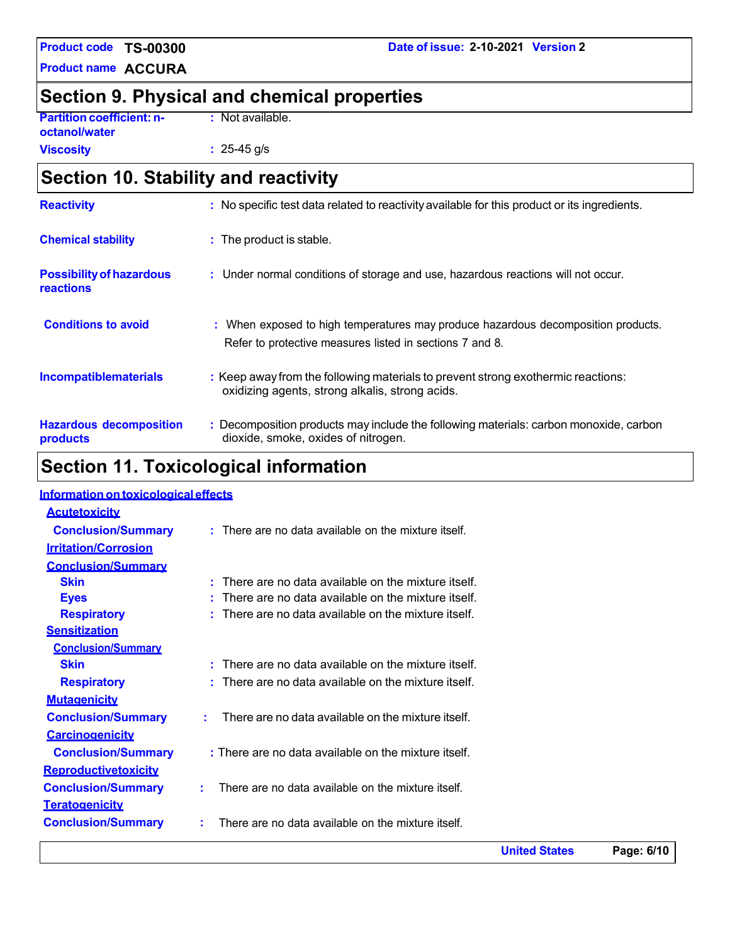**Product name ACCURA**

### **Date of issue: 2-10-2021 Version 2**

# **Section 9. Physical and chemical properties**

**Partition coefficient: noctanol/water**

**Viscosity**

**:** Not available.

**:** 25-45 g/s

# **Section 10. Stability and reactivity**

| <b>Reactivity</b>                            | : No specific test data related to reactivity available for this product or its ingredients.                                                  |
|----------------------------------------------|-----------------------------------------------------------------------------------------------------------------------------------------------|
| <b>Chemical stability</b>                    | : The product is stable.                                                                                                                      |
| <b>Possibility of hazardous</b><br>reactions | : Under normal conditions of storage and use, hazardous reactions will not occur.                                                             |
| <b>Conditions to avoid</b>                   | : When exposed to high temperatures may produce hazardous decomposition products.<br>Refer to protective measures listed in sections 7 and 8. |
| <b>Incompatiblematerials</b>                 | : Keep away from the following materials to prevent strong exothermic reactions:<br>oxidizing agents, strong alkalis, strong acids.           |
| <b>Hazardous decomposition</b><br>products   | : Decomposition products may include the following materials: carbon monoxide, carbon<br>dioxide, smoke, oxides of nitrogen.                  |

# **Section 11. Toxicological information**

### **Information on toxicological effects**

|                             |                                                            | <b>United States</b> | Page: 6/10 |
|-----------------------------|------------------------------------------------------------|----------------------|------------|
| <b>Conclusion/Summary</b>   | There are no data available on the mixture itself.         |                      |            |
| <b>Teratogenicity</b>       |                                                            |                      |            |
| <b>Conclusion/Summary</b>   | There are no data available on the mixture itself.         |                      |            |
| Reproductivetoxicity        |                                                            |                      |            |
| <b>Conclusion/Summary</b>   | : There are no data available on the mixture itself.       |                      |            |
| <b>Carcinogenicity</b>      |                                                            |                      |            |
| <b>Conclusion/Summary</b>   | There are no data available on the mixture itself.<br>÷    |                      |            |
| <b>Mutagenicity</b>         |                                                            |                      |            |
| <b>Respiratory</b>          | There are no data available on the mixture itself.         |                      |            |
| <b>Skin</b>                 | $\cdot$ There are no data available on the mixture itself. |                      |            |
| <b>Conclusion/Summary</b>   |                                                            |                      |            |
| <b>Sensitization</b>        |                                                            |                      |            |
| <b>Respiratory</b>          | : There are no data available on the mixture itself.       |                      |            |
| <b>Eyes</b>                 | $:$ There are no data available on the mixture itself.     |                      |            |
| <b>Skin</b>                 | $:$ There are no data available on the mixture itself.     |                      |            |
| <b>Conclusion/Summary</b>   |                                                            |                      |            |
| <b>Irritation/Corrosion</b> |                                                            |                      |            |
| <b>Conclusion/Summary</b>   | $:$ There are no data available on the mixture itself.     |                      |            |
| <b>Acutetoxicity</b>        |                                                            |                      |            |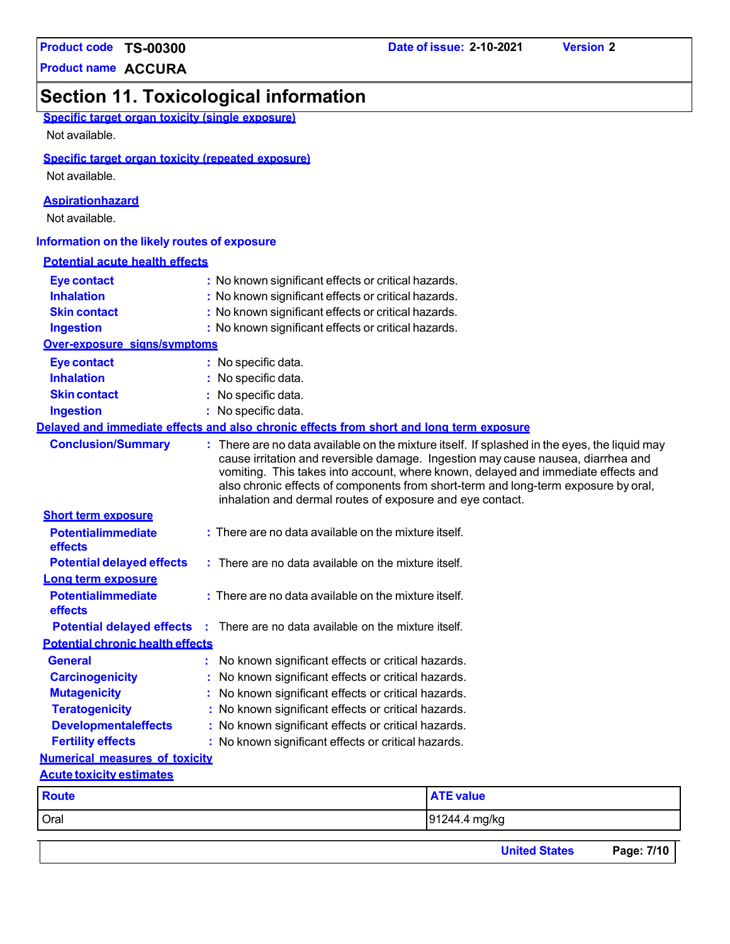**Product name ACCURA**

# **Section 11. Toxicological information**

| Specific target organ toxicity (single exposure) |  |  |  |
|--------------------------------------------------|--|--|--|
|                                                  |  |  |  |

Not available.

### **Specific target organ toxicity (repeated exposure)**

Not available.

### **Aspirationhazard**

Not available.

### **Information on the likely routes of exposure**

| <b>Potential acute health effects</b>   |                                                                                                                                                                                                                                                                                                                                                                                                                          |
|-----------------------------------------|--------------------------------------------------------------------------------------------------------------------------------------------------------------------------------------------------------------------------------------------------------------------------------------------------------------------------------------------------------------------------------------------------------------------------|
| <b>Eye contact</b>                      | : No known significant effects or critical hazards.                                                                                                                                                                                                                                                                                                                                                                      |
| <b>Inhalation</b>                       | : No known significant effects or critical hazards.                                                                                                                                                                                                                                                                                                                                                                      |
| <b>Skin contact</b>                     | : No known significant effects or critical hazards.                                                                                                                                                                                                                                                                                                                                                                      |
| <b>Ingestion</b>                        | : No known significant effects or critical hazards.                                                                                                                                                                                                                                                                                                                                                                      |
| Over-exposure signs/symptoms            |                                                                                                                                                                                                                                                                                                                                                                                                                          |
| <b>Eye contact</b>                      | : No specific data.                                                                                                                                                                                                                                                                                                                                                                                                      |
| <b>Inhalation</b>                       | : No specific data.                                                                                                                                                                                                                                                                                                                                                                                                      |
| <b>Skin contact</b>                     | : No specific data.                                                                                                                                                                                                                                                                                                                                                                                                      |
| <b>Ingestion</b>                        | : No specific data.                                                                                                                                                                                                                                                                                                                                                                                                      |
|                                         | Delaved and immediate effects and also chronic effects from short and long term exposure                                                                                                                                                                                                                                                                                                                                 |
| <b>Conclusion/Summary</b>               | : There are no data available on the mixture itself. If splashed in the eyes, the liquid may<br>cause irritation and reversible damage. Ingestion may cause nausea, diarrhea and<br>vomiting. This takes into account, where known, delayed and immediate effects and<br>also chronic effects of components from short-term and long-term exposure by oral,<br>inhalation and dermal routes of exposure and eye contact. |
| <b>Short term exposure</b>              |                                                                                                                                                                                                                                                                                                                                                                                                                          |
| <b>Potentialimmediate</b><br>effects    | $:$ There are no data available on the mixture itself.                                                                                                                                                                                                                                                                                                                                                                   |
| <b>Potential delayed effects</b>        | $:$ There are no data available on the mixture itself.                                                                                                                                                                                                                                                                                                                                                                   |
| Long term exposure                      |                                                                                                                                                                                                                                                                                                                                                                                                                          |
| <b>Potentialimmediate</b><br>effects    | : There are no data available on the mixture itself.                                                                                                                                                                                                                                                                                                                                                                     |
| <b>Potential delayed effects</b>        | There are no data available on the mixture itself.                                                                                                                                                                                                                                                                                                                                                                       |
| <b>Potential chronic health effects</b> |                                                                                                                                                                                                                                                                                                                                                                                                                          |
| <b>General</b>                          | No known significant effects or critical hazards.                                                                                                                                                                                                                                                                                                                                                                        |
| <b>Carcinogenicity</b>                  | No known significant effects or critical hazards.                                                                                                                                                                                                                                                                                                                                                                        |
| <b>Mutagenicity</b>                     | No known significant effects or critical hazards.                                                                                                                                                                                                                                                                                                                                                                        |
| <b>Teratogenicity</b>                   | : No known significant effects or critical hazards.                                                                                                                                                                                                                                                                                                                                                                      |
| <b>Developmentaleffects</b>             | : No known significant effects or critical hazards.                                                                                                                                                                                                                                                                                                                                                                      |
| <b>Fertility effects</b>                | : No known significant effects or critical hazards.                                                                                                                                                                                                                                                                                                                                                                      |
| <b>Numerical measures of toxicity</b>   |                                                                                                                                                                                                                                                                                                                                                                                                                          |
| <b>Acute toxicity estimates</b>         |                                                                                                                                                                                                                                                                                                                                                                                                                          |
| <b>Route</b>                            | <b>ATE value</b>                                                                                                                                                                                                                                                                                                                                                                                                         |
| Oral                                    | 91244.4 mg/kg                                                                                                                                                                                                                                                                                                                                                                                                            |
|                                         | <b>United States</b><br>Page: 7/10                                                                                                                                                                                                                                                                                                                                                                                       |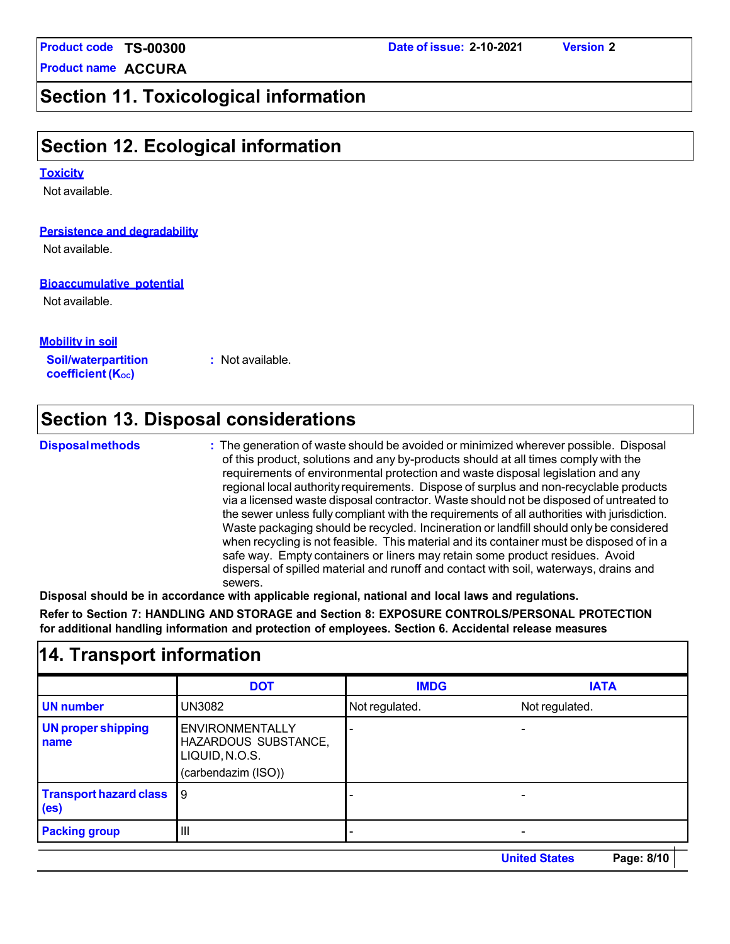**Product name ACCURA**

### **Date of issue: 2-10-2021 Version 2**

# **Section 11. Toxicological information**

# **Section 12. Ecological information**

### **Toxicity**

Not available.

### **Persistence and degradability**

Not available.

### **Bioaccumulative potential**

Not available.

### **Mobility in soil**

**Soil/waterpartition coefficient** (K<sub>oc</sub>)

**:** Not available.

# **Section 13. Disposal considerations**

**14. Transport information**

**Disposalmethods :** The generation of waste should be avoided or minimized wherever possible. Disposal of this product, solutions and any by-products should at all times comply with the requirements of environmental protection and waste disposal legislation and any regional local authorityrequirements. Dispose of surplus and non-recyclable products via a licensed waste disposal contractor. Waste should not be disposed of untreated to the sewer unless fully compliant with the requirements of all authorities with jurisdiction. Waste packaging should be recycled. Incineration or landfill should only be considered when recycling is not feasible. This material and its container must be disposed of in a safe way. Empty containers or liners may retain some product residues. Avoid dispersal of spilled material and runoff and contact with soil, waterways, drains and sewers.

**Disposal should be in accordance with applicable regional, national and local laws and regulations.**

**Refer to Section 7: HANDLING AND STORAGE and Section 8: EXPOSURE CONTROLS/PERSONAL PROTECTION for additional handling information and protection of employees. Section 6. Accidental release measures**

|                                               | <b>DOT</b>                                                                              | <b>IMDG</b>    | <b>IATA</b>    |  |
|-----------------------------------------------|-----------------------------------------------------------------------------------------|----------------|----------------|--|
| <b>UN number</b>                              | UN3082                                                                                  | Not regulated. | Not regulated. |  |
| <b>UN proper shipping</b><br>name             | <b>ENVIRONMENTALLY</b><br>HAZARDOUS SUBSTANCE,<br>LIQUID, N.O.S.<br>(carbendazim (ISO)) |                |                |  |
| Transport hazard class 9<br>(e <sub>s</sub> ) |                                                                                         |                |                |  |
| <b>Packing group</b>                          | Ш                                                                                       |                |                |  |
|                                               |                                                                                         |                |                |  |

### **United States Page: 8/10**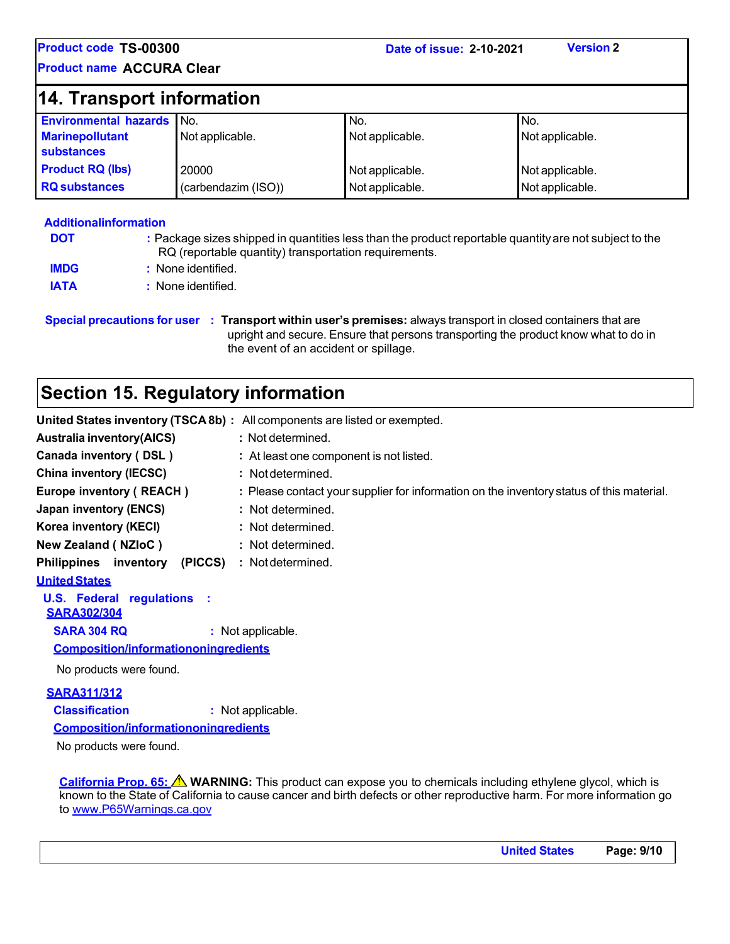**Product name ACCURA Clear**

| <b>14. Transport information</b>            |                     |                 |                 |  |
|---------------------------------------------|---------------------|-----------------|-----------------|--|
| Environmental hazards No.                   |                     | No.             | No.             |  |
| <b>Marinepollutant</b><br><b>substances</b> | Not applicable.     | Not applicable. | Not applicable. |  |
| <b>Product RQ (lbs)</b>                     | 20000               | Not applicable. | Not applicable. |  |
| <b>RQ</b> substances                        | (carbendazim (ISO)) | Not applicable. | Not applicable. |  |

#### **Additionalinformation DOT IMDG :** Package sizes shipped in quantities less than the product reportable quantityare not subject to the RQ (reportable quantity) transportation requirements. **:** None identified. **IATA :** None identified.

**Special precautions for user : Transport within user's premises:** always transport in closed containers that are upright and secure. Ensure that persons transporting the product know what to do in the event of an accident or spillage.

# **Section 15. Regulatory information**

| United States inventory (TSCA8b) : All components are listed or exempted.                |
|------------------------------------------------------------------------------------------|
| : Not determined.                                                                        |
| : At least one component is not listed.                                                  |
| : Not determined.                                                                        |
| : Please contact your supplier for information on the inventory status of this material. |
| : Not determined.                                                                        |
| : Not determined.                                                                        |
| : Not determined.                                                                        |
| : Not determined.                                                                        |
|                                                                                          |
|                                                                                          |
| : Not applicable.                                                                        |
| <b>Composition/informationoningredients</b>                                              |
|                                                                                          |
| : Not applicable.<br><b>Composition/informationoningredients</b>                         |
|                                                                                          |

No products were found.

**California Prop. 65: WARNING:** This product can expose you to chemicals including ethylene glycol, which is known to the State of California to cause cancer and birth defects or other reproductive harm. For more information go to [www.P65Warnings.ca.gov](http://www.p65warnings.ca.gov/)